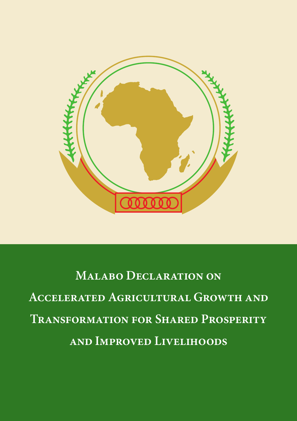

**Malabo Declaration on Accelerated Agricultural Growth and Transformation for Shared Prosperity and Improved Livelihoods**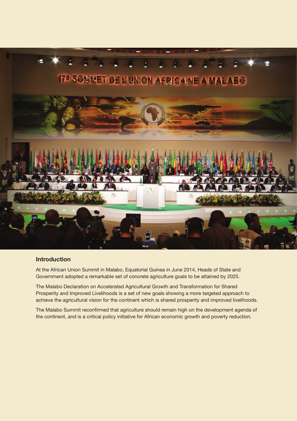# 17<sup>e</sup> SOMMET DE L'UNION AFRICAINE A MALABO

**Malabo Declaration on Accelerated Agricultural Growth and**  $\mathcal{A}$ **Transformation for Shared Prosperity and Improved Livelihoods** Malabo, Equatorial Guinnia • June 26-27, 2014



# Introduction

At the African Union Summit in Malabo, Equatorial Guinea in June 2014, Heads of State and Government adopted a remarkable set of concrete agriculture goals to be attained by 2025.

The Malabo Declaration on Accelerated Agricultural Growth and Transformation for Shared Prosperity and Improved Livelihoods is a set of new goals showing a more targeted approach to achieve the agricultural vision for the continent which is shared prosperity and improved livelihoods.

The Malabo Summit reconfirmed that agriculture should remain high on the development agenda of the continent, and is a critical policy initiative for African economic growth and poverty reduction.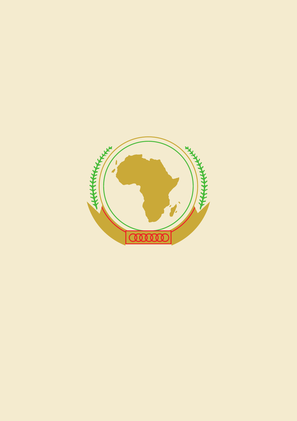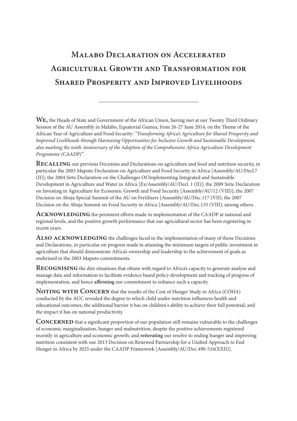# **Malabo Declaration on Accelerated Agricultural Growth and Transformation for Shared Prosperity and Improved Livelihoods**

**We,** the Heads of State and Government of the African Union, having met at our Twenty Third Ordinary Session of the AU Assembly in Malabo, Equatorial Guinea, from 26-27 June 2014, on the Theme of the African Year of Agriculture and Food Security: *"Transforming Africa's Agriculture for Shared Prosperity and Improved Livelihoods through Harnessing Opportunities for Inclusive Growth and Sustainable Development, also marking the tenth Anniversary of the Adoption of the Comprehensive Africa Agriculture Development Programme (CAADP)".*

**Recalling** our previous Decisions and Declarations on agriculture and food and nutrition security, in particular the 2003 Maputo Declaration on Agriculture and Food Security in Africa [Assembly/AU/Decl.7 (II)]; the 2004 Sirte Declaration on the Challenges Of Implementing Integrated and Sustainable Development in Agriculture and Water in Africa [Ex/Assembly/AU/Decl. 1 (II)]; the 2009 Sirte Declaration on Investing in Agriculture for Economic Growth and Food Security [Assembly/AU/12 (VIII)]; the 2007 Decision on Abuja Special Summit of the AU on Fertilisers [Assembly/AU/Dec.117 (VII); the 2007 Decision on the Abuja Summit on Food Security in Africa [Assembly/AU/Dec.135 (VIII); among others.

**Acknowledging** the persistent efforts made in implementation of the CAADP at national and regional levels, and the positive growth performance that our agricultural sector has been registering in recent years.

ALSO ACKNOWLEDGING the challenges faced in the implementation of many of those Decisions and Declarations, in particular on progress made in attaining the minimum targets of public investment in agriculture that should demonstrate Africa's ownership and leadership to the achievement of goals as enshrined in the 2003 Maputo commitments.

**Recognising** the dire situations that obtain with regard to Africa's capacity to generate analyse and manage data and information to facilitate evidence based policy development and tracking of progress of implementation, and hence **affirming** our commitment to enhance such a capacity.

**NOTING WITH CONCERN** that the results of the Cost of Hunger Study in Africa (COHA) conducted by the AUC revealed the degree to which child under-nutrition influences health and educational outcomes; the additional barrier it has on children's ability to achieve their full potential; and the impact it has on national productivity.

**CONCERNED** that a significant proportion of our population still remains vulnerable to the challenges of economic marginalization, hunger and malnutrition, despite the positive achievements registered recently in agriculture and economic growth; and **reiterating** our resolve to ending hunger and improving nutrition consistent with our 2013 Decision on Renewed Partnership for a Unified Approach to End Hunger in Africa by 2025 under the CAADP Framework [Assembly/AU/Dec.490-516(XXII)].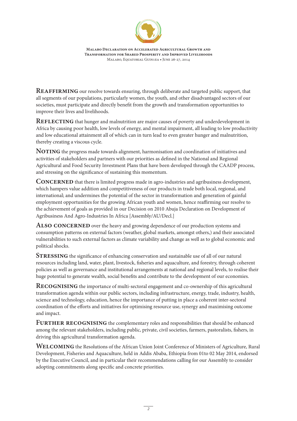

**Malabo Declaration on Accelerated Agricultural Growth and Transformation for Shared Prosperity and Improved Livelihoods** Malabo, Equatorial Guin1ea • June 26-27, 2014

**REAFFIRMING** our resolve towards ensuring, through deliberate and targeted public support, that all segments of our populations, particularly women, the youth, and other disadvantaged sectors of our societies, must participate and directly benefit from the growth and transformation opportunities to improve their lives and livelihoods.

**REFLECTING** that hunger and malnutrition are major causes of poverty and underdevelopment in Africa by causing poor health, low levels of energy, and mental impairment, all leading to low productivity and low educational attainment all of which can in turn lead to even greater hunger and malnutrition, thereby creating a viscous cycle.

NOTING the progress made towards alignment, harmonisation and coordination of initiatives and activities of stakeholders and partners with our priorities as defined in the National and Regional Agricultural and Food Security Investment Plans that have been developed through the CAADP process, and stressing on the significance of sustaining this momentum.

**CONCERNED** that there is limited progress made in agro-industries and agribusiness development, which hampers value addition and competitiveness of our products in trade both local, regional, and international; and undermines the potential of the sector in transformation and generation of gainful employment opportunities for the growing African youth and women, hence reaffirming our resolve to the achievement of goals as provided in our Decision on 2010 Abuja Declaration on Development of Agribusiness And Agro-Industries In Africa [Assembly/AU/Decl.]

**ALSO CONCERNED** over the heavy and growing dependence of our production systems and consumption patterns on external factors (weather, global markets, amongst others,) and their associated vulnerabilities to such external factors as climate variability and change as well as to global economic and political shocks.

**Stressing** the significance of enhancing conservation and sustainable use of all of our natural resources including land, water, plant, livestock, fisheries and aquaculture, and forestry, through coherent policies as well as governance and institutional arrangements at national and regional levels, to realise their huge potential to generate wealth, social benefits and contribute to the development of our economies.

**Recognising** the importance of multi-sectoral engagement and co-ownership of this agricultural transformation agenda within our public sectors, including infrastructure, energy, trade, industry, health, science and technology, education, hence the importance of putting in place a coherent inter-sectoral coordination of the efforts and initiatives for optimising resource use, synergy and maximising outcome and impact.

**FURTHER RECOGNISING** the complementary roles and responsibilities that should be enhanced among the relevant stakeholders, including public, private, civil societies, farmers, pastoralists, fishers, in driving this agricultural transformation agenda.

**Welcoming** the Resolutions of the African Union Joint Conference of Ministers of Agriculture, Rural Development, Fisheries and Aquaculture, held in Addis Ababa, Ethiopia from 01to 02 May 2014, endorsed by the Executive Council, and in particular their recommendations calling for our Assembly to consider adopting commitments along specific and concrete priorities.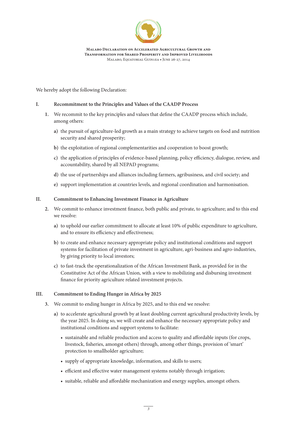

We hereby adopt the following Declaration:

### **I. Recommitment to the Principles and Values of the CAADP Process**

- **1.** We recommit to the key principles and values that define the CAADP process which include, among others:
	- **a)** the pursuit of agriculture-led growth as a main strategy to achieve targets on food and nutrition security and shared prosperity;
	- **b)** the exploitation of regional complementarities and cooperation to boost growth;
	- **c)** the application of principles of evidence-based planning, policy efficiency, dialogue, review, and accountability, shared by all NEPAD programs;
	- **d)** the use of partnerships and alliances including farmers, agribusiness, and civil society; and
	- **e)** support implementation at countries levels, and regional coordination and harmonisation.

#### **II. Commitment to Enhancing Investment Finance in Agriculture**

- **2.** We commit to enhance investment finance, both public and private, to agriculture; and to this end we resolve:
	- **a)** to uphold our earlier commitment to allocate at least 10% of public expenditure to agriculture, and to ensure its efficiency and effectiveness;
	- **b)** to create and enhance necessary appropriate policy and institutional conditions and support systems for facilitation of private investment in agriculture, agri-business and agro-industries, by giving priority to local investors;
	- **c)** to fast-track the operationalization of the African Investment Bank, as provided for in the Constitutive Act of the African Union, with a view to mobilizing and disbursing investment finance for priority agriculture related investment projects.

### **III. Commitment to Ending Hunger in Africa by 2025**

- **3.** We commit to ending hunger in Africa by 2025, and to this end we resolve:
	- **a)** to accelerate agricultural growth by at least doubling current agricultural productivity levels, by the year 2025. In doing so, we will create and enhance the necessary appropriate policy and institutional conditions and support systems to facilitate:
		- sustainable and reliable production and access to quality and affordable inputs (for crops, livestock, fisheries, amongst others) through, among other things, provision of 'smart' protection to smallholder agriculture;
		- supply of appropriate knowledge, information, and skills to users;
		- efficient and effective water management systems notably through irrigation;
		- suitable, reliable and affordable mechanization and energy supplies, amongst others.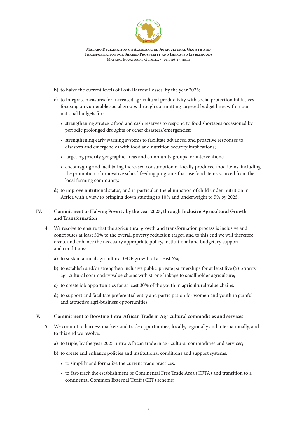

- **b)** to halve the current levels of Post-Harvest Losses, by the year 2025;
- **c)** to integrate measures for increased agricultural productivity with social protection initiatives focusing on vulnerable social groups through committing targeted budget lines within our national budgets for:
	- strengthening strategic food and cash reserves to respond to food shortages occasioned by periodic prolonged droughts or other disasters/emergencies;
	- strengthening early warning systems to facilitate advanced and proactive responses to disasters and emergencies with food and nutrition security implications;
	- targeting priority geographic areas and community groups for interventions;
	- encouraging and facilitating increased consumption of locally produced food items, including the promotion of innovative school feeding programs that use food items sourced from the local farming community.
- **d)** to improve nutritional status, and in particular, the elimination of child under-nutrition in Africa with a view to bringing down stunting to 10% and underweight to 5% by 2025.

# **IV. Commitment to Halving Poverty by the year 2025, through Inclusive Agricultural Growth and Transformation**

- **4.** We resolve to ensure that the agricultural growth and transformation process is inclusive and contributes at least 50% to the overall poverty reduction target; and to this end we will therefore create and enhance the necessary appropriate policy, institutional and budgetary support and conditions:
	- **a)** to sustain annual agricultural GDP growth of at least 6%;
	- **b)** to establish and/or strengthen inclusive public-private partnerships for at least five (5) priority agricultural commodity value chains with strong linkage to smallholder agriculture;
	- **c)** to create job opportunities for at least 30% of the youth in agricultural value chains;
	- **d)** to support and facilitate preferential entry and participation for women and youth in gainful and attractive agri-business opportunities.
- **V. Commitment to Boosting Intra-African Trade in Agricultural commodities and services**
	- **5.** We commit to harness markets and trade opportunities, locally, regionally and internationally, and to this end we resolve:
		- **a)** to triple, by the year 2025, intra-African trade in agricultural commodities and services;
		- **b)** to create and enhance policies and institutional conditions and support systems:
			- to simplify and formalize the current trade practices;
			- to fast-track the establishment of Continental Free Trade Area (CFTA) and transition to a continental Common External Tariff (CET) scheme;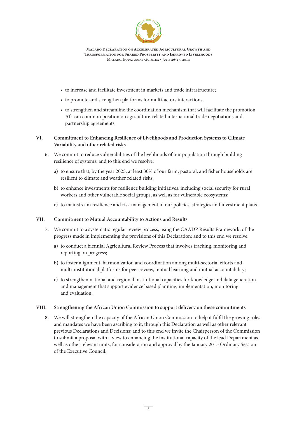

- to increase and facilitate investment in markets and trade infrastructure;
- to promote and strengthen platforms for multi-actors interactions;
- to strengthen and streamline the coordination mechanism that will facilitate the promotion African common position on agriculture-related international trade negotiations and partnership agreements.

# **VI. Commitment to Enhancing Resilience of Livelihoods and Production Systems to Climate Variability and other related risks**

- **6.** We commit to reduce vulnerabilities of the livelihoods of our population through building resilience of systems; and to this end we resolve:
	- **a)** to ensure that, by the year 2025, at least 30% of our farm, pastoral, and fisher households are resilient to climate and weather related risks;
	- **b)** to enhance investments for resilience building initiatives, including social security for rural workers and other vulnerable social groups, as well as for vulnerable ecosystems;
	- **c)** to mainstream resilience and risk management in our policies, strategies and investment plans.

#### **VII. Commitment to Mutual Accountability to Actions and Results**

- **7.** We commit to a systematic regular review process, using the CAADP Results Framework, of the progress made in implementing the provisions of this Declaration; and to this end we resolve:
	- **a)** to conduct a biennial Agricultural Review Process that involves tracking, monitoring and reporting on progress;
	- **b)** to foster alignment, harmonization and coordination among multi-sectorial efforts and multi-institutional platforms for peer review, mutual learning and mutual accountability;
	- **c)** to strengthen national and regional institutional capacities for knowledge and data generation and management that support evidence based planning, implementation, monitoring and evaluation.

#### **VIII. Strengthening the African Union Commission to support delivery on these commitments**

**8.** We will strengthen the capacity of the African Union Commission to help it fulfil the growing roles and mandates we have been ascribing to it, through this Declaration as well as other relevant previous Declarations and Decisions; and to this end we invite the Chairperson of the Commission to submit a proposal with a view to enhancing the institutional capacity of the lead Department as well as other relevant units, for consideration and approval by the January 2015 Ordinary Session of the Executive Council.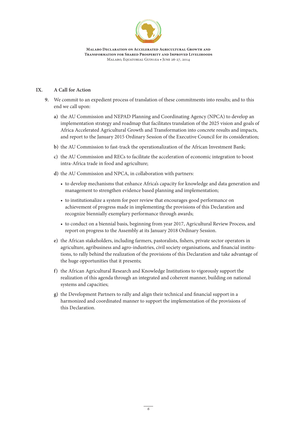

## **IX. A Call for Action**

- **9.** We commit to an expedient process of translation of these commitments into results; and to this end we call upon:
	- **a)** the AU Commission and NEPAD Planning and Coordinating Agency (NPCA) to develop an implementation strategy and roadmap that facilitates translation of the 2025 vision and goals of Africa Accelerated Agricultural Growth and Transformation into concrete results and impacts, and report to the January 2015 Ordinary Session of the Executive Council for its consideration;
	- **b)** the AU Commission to fast-track the operationalization of the African Investment Bank;
	- **c)** the AU Commission and RECs to facilitate the acceleration of economic integration to boost intra-Africa trade in food and agriculture;
	- **d)** the AU Commission and NPCA, in collaboration with partners:
		- to develop mechanisms that enhance Africa's capacity for knowledge and data generation and management to strengthen evidence based planning and implementation;
		- to institutionalize a system for peer review that encourages good performance on achievement of progress made in implementing the provisions of this Declaration and recognize biennially exemplary performance through awards;
		- to conduct on a biennial basis, beginning from year 2017, Agricultural Review Process, and report on progress to the Assembly at its January 2018 Ordinary Session.
	- **e)** the African stakeholders, including farmers, pastoralists, fishers, private sector operators in agriculture, agribusiness and agro-industries, civil society organisations, and financial institutions, to rally behind the realization of the provisions of this Declaration and take advantage of the huge opportunities that it presents;
	- **f)** the African Agricultural Research and Knowledge Institutions to vigorously support the realization of this agenda through an integrated and coherent manner, building on national systems and capacities;
	- **g)** the Development Partners to rally and align their technical and financial support in a harmonized and coordinated manner to support the implementation of the provisions of this Declaration.